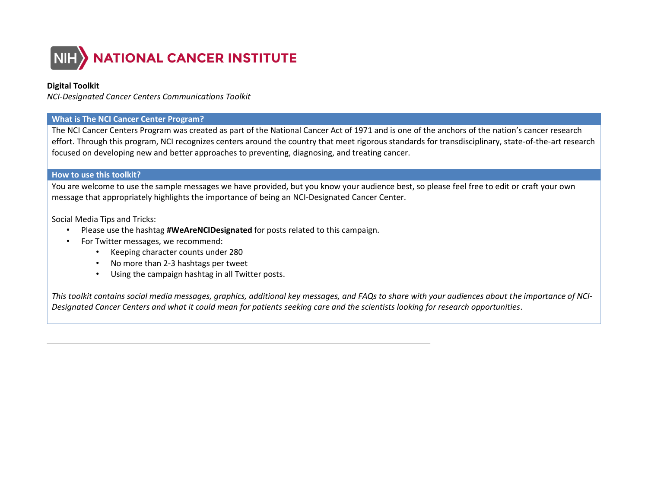

## **Digital Toolkit**

*NCI-Designated Cancer Centers Communications Toolkit*

#### **What is The NCI Cancer Center Program?**

The NCI Cancer Centers Program was created as part of the National Cancer Act of 1971 and is one of the anchors of the nation's cancer research effort. Through this program, NCI recognizes centers around the country that meet rigorous standards for transdisciplinary, state-of-the-art research focused on developing new and better approaches to preventing, diagnosing, and treating cancer.

#### **How to use this toolkit?**

You are welcome to use the sample messages we have provided, but you know your audience best, so please feel free to edit or craft your own message that appropriately highlights the importance of being an NCI-Designated Cancer Center.

Social Media Tips and Tricks:

- Please use the hashtag **#WeAreNCIDesignated** for posts related to this campaign.
- For Twitter messages, we recommend:
	- Keeping character counts under 280
	- No more than 2-3 hashtags per tweet
	- Using the campaign hashtag in all Twitter posts.

*This toolkit contains social media messages, graphics, additional key messages, and FAQs to share with your audiences about the importance of NCI-Designated Cancer Centers and what it could mean for patients seeking care and the scientists looking for research opportunities*.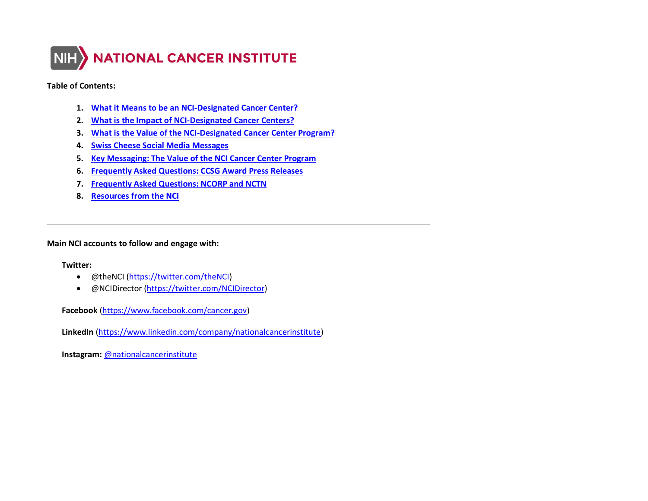

#### **Table of Contents:**

- **1. [What it Means to be an NCI-Designated Cancer Center?](#page-2-0)**
- **2. [What is the Impact of NCI-Designated Cancer Centers?](#page-3-0)**
- **3. [What is the Value of the NCI-Designated Cancer Center Program?](#page-4-0)**
- **4. [Swiss Cheese Social Media Messages](#page-5-0)**
- **5. [Key Messaging: The Value of the NCI Cancer Center Program](#page-5-1)**
- **6. [Frequently Asked Questions: CCSG Award Press Releases](#page-7-0)**
- **7. [Frequently Asked Questions: NCORP and NCTN](#page-8-0)**
- **8. [Resources from the NCI](#page-11-0)**

**Main NCI accounts to follow and engage with:**

#### **Twitter:**

- @theNCI [\(https://twitter.com/theNCI\)](https://twitter.com/theNCI)
- @NCIDirector [\(https://twitter.com/NCIDirector\)](https://twitter.com/NCIDirector)

**Facebook** [\(https://www.facebook.com/cancer.gov\)](https://www.facebook.com/cancer.gov)

**LinkedIn** [\(https://www.linkedin.com/company/nationalcancerinstitute\)](https://www.linkedin.com/company/nationalcancerinstitute)

**Instagram:** [@nationalcancerinstitute](http://www.instagram.com/nationalcancerinstitute)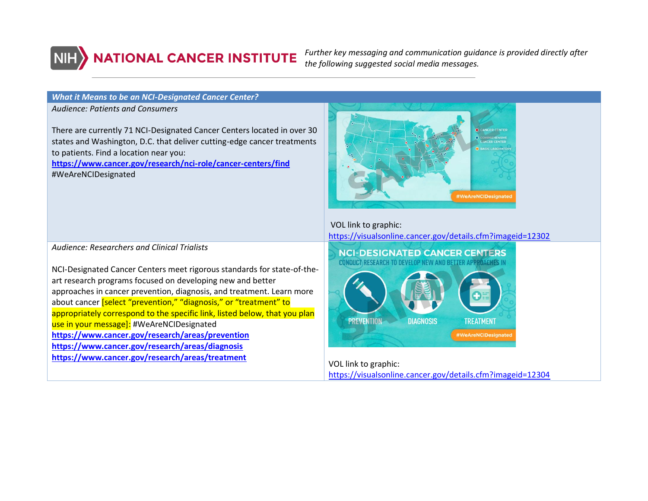

*Further key messaging and communication guidance is provided directly after the following suggested social media messages.*

#### <span id="page-2-0"></span>*What it Means to be an NCI-Designated Cancer Center?*

*Audience: Patients and Consumers*

There are currently 71 NCI-Designated Cancer Centers located in over 30 states and Washington, D.C. that deliver cutting-edge cancer treatments to patients. Find a location near you:

**<https://www.cancer.gov/research/nci-role/cancer-centers/find>** #WeAreNCIDesignated



VOL link to graphic: <https://visualsonline.cancer.gov/details.cfm?imageid=12302>



VOL link to graphic:

<https://visualsonline.cancer.gov/details.cfm?imageid=12304>

*Audience: Researchers and Clinical Trialists*

NCI-Designated Cancer Centers meet rigorous standards for state-of-theart research programs focused on developing new and better approaches in cancer prevention, diagnosis, and treatment. Learn more about cancer [select "prevention," "diagnosis," or "treatment" to appropriately correspond to the specific link, listed below, that you plan use in your message]: #WeAreNCIDesignated **<https://www.cancer.gov/research/areas/prevention> <https://www.cancer.gov/research/areas/diagnosis> <https://www.cancer.gov/research/areas/treatment>**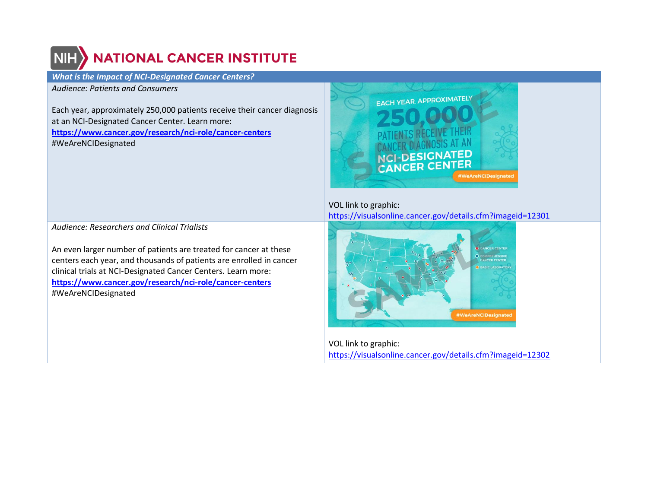# **NATIONAL CANCER INSTITUTE**

## <span id="page-3-0"></span>*What is the Impact of NCI-Designated Cancer Centers?*

*Audience: Patients and Consumers*

Each year, approximately 250,000 patients receive their cancer diagnosis at an NCI-Designated Cancer Center. Learn more: **<https://www.cancer.gov/research/nci-role/cancer-centers>** #WeAreNCIDesignated



VOL link to graphic: <https://visualsonline.cancer.gov/details.cfm?imageid=12301>



VOL link to graphic: <https://visualsonline.cancer.gov/details.cfm?imageid=12302>

*Audience: Researchers and Clinical Trialists*

An even larger number of patients are treated for cancer at these centers each year, and thousands of patients are enrolled in cancer clinical trials at NCI-Designated Cancer Centers. Learn more: **<https://www.cancer.gov/research/nci-role/cancer-centers>** #WeAreNCIDesignated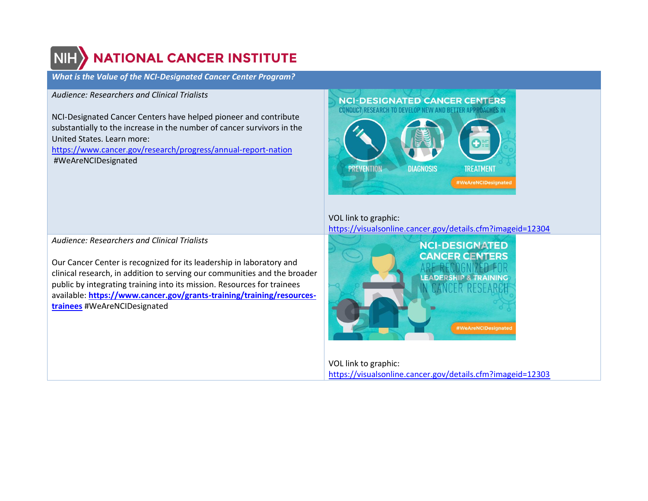# **NATIONAL CANCER INSTITUTE**

<span id="page-4-0"></span>*What is the Value of the NCI-Designated Cancer Center Program?*

# *Audience: Researchers and Clinical Trialists*

NCI-Designated Cancer Centers have helped pioneer and contribute substantially to the increase in the number of cancer survivors in the United States. Learn more:

<https://www.cancer.gov/research/progress/annual-report-nation> #WeAreNCIDesignated

#### **NCI-DESIGNATED CANCER CENTERS CONDUCT RESEARCH TO DEVELOP NEW AND BETTER APPROACHES IN**



# VOL link to graphic: <https://visualsonline.cancer.gov/details.cfm?imageid=12304>



VOL link to graphic: <https://visualsonline.cancer.gov/details.cfm?imageid=12303>

*Audience: Researchers and Clinical Trialists*

Our Cancer Center is recognized for its leadership in laboratory and clinical research, in addition to serving our communities and the broader public by integrating training into its mission. Resources for trainees available: **[https://www.cancer.gov/grants-training/training/resources](https://www.cancer.gov/grants-training/training/resources-trainees)[trainees](https://www.cancer.gov/grants-training/training/resources-trainees)** #WeAreNCIDesignated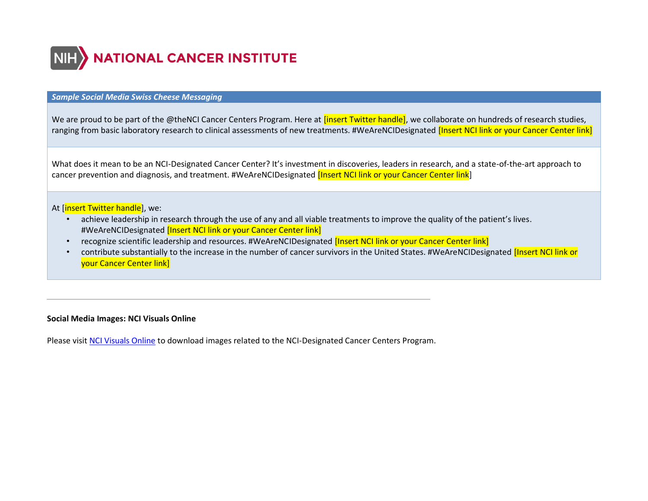

#### <span id="page-5-0"></span>*Sample Social Media Swiss Cheese Messaging*

We are proud to be part of the @theNCI Cancer Centers Program. Here at *[insert Twitter handle]*, we collaborate on hundreds of research studies, ranging from basic laboratory research to clinical assessments of new treatments. #WeAreNCIDesignated **[Insert NCI link or your Cancer Center link**]

What does it mean to be an NCI-Designated Cancer Center? It's investment in discoveries, leaders in research, and a state-of-the-art approach to cancer prevention and diagnosis, and treatment. #WeAreNCIDesignated *[Insert NCI link or your Cancer Center link*]

## At [insert Twitter handle], we:

- achieve leadership in research through the use of any and all viable treatments to improve the quality of the patient's lives. #WeAreNCIDesignated [Insert NCI link or your Cancer Center link]
- recognize scientific leadership and resources. #WeAreNCIDesignated **[Insert NCI link or your Cancer Center link]**
- contribute substantially to the increase in the number of cancer survivors in the United States. #WeAreNCIDesignated [Insert NCI link or your Cancer Center link]

## **Social Media Images: NCI Visuals Online**

<span id="page-5-1"></span>Please visit [NCI Visuals Online](https://visualsonline.cancer.gov/) to download images related to the NCI-Designated Cancer Centers Program.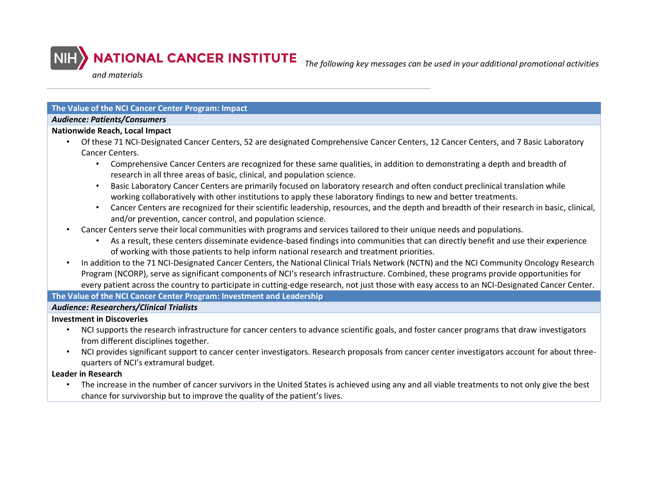

*The following key messages can be used in your additional promotional activities* 

*and materials*

## **The Value of the NCI Cancer Center Program: Impact**

#### *Audience: Patients/Consumers*

## **Nationwide Reach, Local Impact**

- Of these 71 NCI-Designated Cancer Centers, 52 are designated Comprehensive Cancer Centers, 12 Cancer Centers, and 7 Basic Laboratory Cancer Centers.
	- Comprehensive Cancer Centers are recognized for these same qualities, in addition to demonstrating a depth and breadth of research in all three areas of basic, clinical, and population science.
	- Basic Laboratory Cancer Centers are primarily focused on laboratory research and often conduct preclinical translation while working collaboratively with other institutions to apply these laboratory findings to new and better treatments.
	- Cancer Centers are recognized for their scientific leadership, resources, and the depth and breadth of their research in basic, clinical, and/or prevention, cancer control, and population science.
- Cancer Centers serve their local communities with programs and services tailored to their unique needs and populations.
	- As a result, these centers disseminate evidence-based findings into communities that can directly benefit and use their experience of working with those patients to help inform national research and treatment priorities.
- In addition to the 71 NCI-Designated Cancer Centers, the National Clinical Trials Network (NCTN) and the NCI Community Oncology Research Program (NCORP), serve as significant components of NCI's research infrastructure. Combined, these programs provide opportunities for every patient across the country to participate in cutting-edge research, not just those with easy access to an NCI-Designated Cancer Center.

## **The Value of the NCI Cancer Center Program: Investment and Leadership**

# *Audience: Researchers/Clinical Trialists*

## **Investment in Discoveries**

- NCI supports the research infrastructure for cancer centers to advance scientific goals, and foster cancer programs that draw investigators from different disciplines together.
- NCI provides significant support to cancer center investigators. Research proposals from cancer center investigators account for about threequarters of NCI's extramural budget.

## **Leader in Research**

• The increase in the number of cancer survivors in the United States is achieved using any and all viable treatments to not only give the best chance for survivorship but to improve the quality of the patient's lives.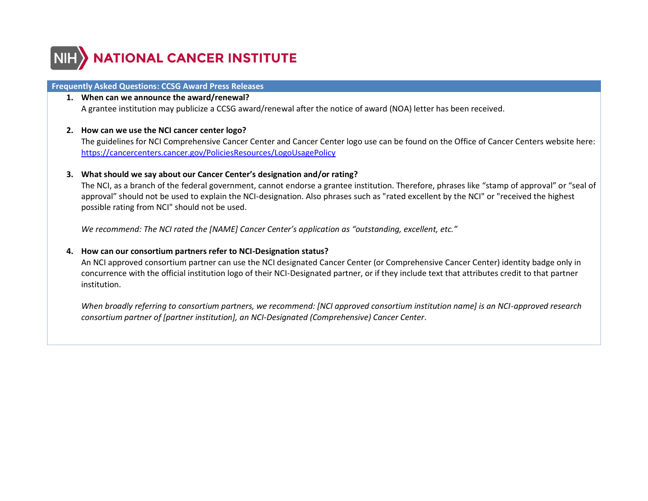

### <span id="page-7-0"></span>**Frequently Asked Questions: CCSG Award Press Releases**

## **1. When can we announce the award/renewal?**

A grantee institution may publicize a CCSG award/renewal after the notice of award (NOA) letter has been received.

#### **2. How can we use the NCI cancer center logo?**

The guidelines for NCI Comprehensive Cancer Center and Cancer Center logo use can be found on the Office of Cancer Centers website here: <https://cancercenters.cancer.gov/PoliciesResources/LogoUsagePolicy>

#### **3. What should we say about our Cancer Center's designation and/or rating?**

The NCI, as a branch of the federal government, cannot endorse a grantee institution. Therefore, phrases like "stamp of approval" or "seal of approval" should not be used to explain the NCI-designation. Also phrases such as "rated excellent by the NCI" or "received the highest possible rating from NCI" should not be used.

*We recommend: The NCI rated the [NAME] Cancer Center's application as "outstanding, excellent, etc."*

## **4. How can our consortium partners refer to NCI-Designation status?**

An NCI approved consortium partner can use the NCI designated Cancer Center (or Comprehensive Cancer Center) identity badge only in concurrence with the official institution logo of their NCI-Designated partner, or if they include text that attributes credit to that partner institution.

*When broadly referring to consortium partners, we recommend: [NCI approved consortium institution name] is an NCI-approved research consortium partner of [partner institution], an NCI-Designated (Comprehensive) Cancer Center*.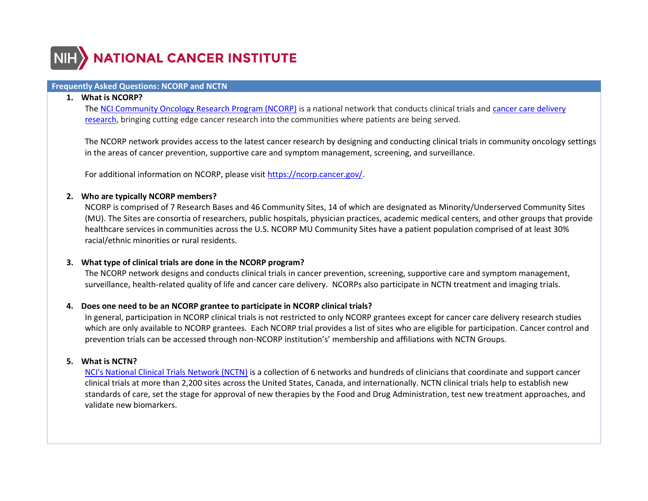

# <span id="page-8-0"></span>**Frequently Asked Questions: NCORP and NCTN**

#### **1. What is NCORP?**

The [NCI Community Oncology Research Program \(NCORP\)](https://www.cancer.gov/research/infrastructure/clinical-trials/ncorp) is a national network that conducts clinical trials and [cancer care delivery](https://www.cancer.gov/about-nci/organization/ccct/steering-committees/ncorp/cancer-care) [research,](https://www.cancer.gov/about-nci/organization/ccct/steering-committees/ncorp/cancer-care) bringing cutting edge cancer research into the communities where patients are being served.

The NCORP network provides access to the latest cancer research by designing and conducting clinical trials in community oncology settings in the areas of cancer prevention, supportive care and symptom management, screening, and surveillance.

For additional information on NCORP, please visit [https://ncorp.cancer.gov/.](https://ncorp.cancer.gov/)

#### **2. Who are typically NCORP members?**

NCORP is comprised of 7 Research Bases and 46 Community Sites, 14 of which are designated as Minority/Underserved Community Sites (MU). The Sites are consortia of researchers, public hospitals, physician practices, academic medical centers, and other groups that provide healthcare services in communities across the U.S. NCORP MU Community Sites have a patient population comprised of at least 30% racial/ethnic minorities or rural residents.

## **3. What type of clinical trials are done in the NCORP program?**

The NCORP network designs and conducts clinical trials in cancer prevention, screening, supportive care and symptom management, surveillance, health-related quality of life and cancer care delivery. NCORPs also participate in NCTN treatment and imaging trials.

## **4. Does one need to be an NCORP grantee to participate in NCORP clinical trials?**

In general, participation in NCORP clinical trials is not restricted to only NCORP grantees except for cancer care delivery research studies which are only available to NCORP grantees. Each NCORP trial provides a list of sites who are eligible for participation. Cancer control and prevention trials can be accessed through non-NCORP institution's' membership and affiliations with NCTN Groups.

## **5. What is NCTN?**

[NCI's National Clinical Trials Network \(NCTN\)](https://www.cancer.gov/research/infrastructure/clinical-trials/nctn) is a collection of 6 networks and hundreds of clinicians that coordinate and support cancer clinical trials at more than 2,200 sites across the United States, Canada, and internationally. NCTN clinical trials help to establish new standards of care, set the stage for approval of new therapies by the Food and Drug Administration, test new treatment approaches, and validate new biomarkers.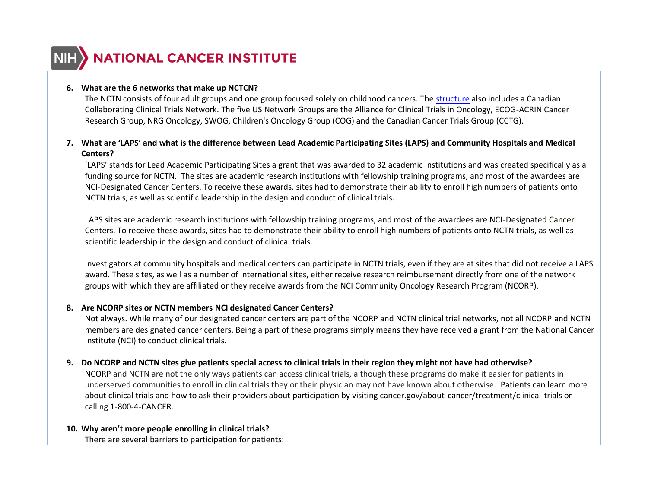

## **6. What are the 6 networks that make up NCTCN?**

The NCTN consists of four adult groups and one group focused solely on childhood cancers. The [structure](https://www.cancer.gov/sites/g/files/xnrzdm211/files/styles/cgov_enlarged/public/cgov_infographic/2019-07/NCTN_Clinical_Trials_Network.gif?itok=fL234Ga4) also includes a Canadian Collaborating Clinical Trials Network. The five US Network Groups are the Alliance for Clinical Trials in Oncology, ECOG-ACRIN Cancer Research Group, NRG Oncology, SWOG, Children's Oncology Group (COG) and the Canadian Cancer Trials Group (CCTG).

# **7. What are 'LAPS' and what is the difference between Lead Academic Participating Sites (LAPS) and Community Hospitals and Medical Centers?**

'LAPS' stands for Lead Academic Participating Sites a grant that was awarded to 32 academic institutions and was created specifically as a funding source for NCTN. The sites are academic research institutions with fellowship training programs, and most of the awardees are NCI-Designated Cancer Centers. To receive these awards, sites had to demonstrate their ability to enroll high numbers of patients onto NCTN trials, as well as scientific leadership in the design and conduct of clinical trials.

LAPS sites are academic research institutions with fellowship training programs, and most of the awardees are NCI-Designated Cancer Centers. To receive these awards, sites had to demonstrate their ability to enroll high numbers of patients onto NCTN trials, as well as scientific leadership in the design and conduct of clinical trials.

Investigators at community hospitals and medical centers can participate in NCTN trials, even if they are at sites that did not receive a LAPS award. These sites, as well as a number of international sites, either receive research reimbursement directly from one of the network groups with which they are affiliated or they receive awards from the NCI Community Oncology Research Program (NCORP).

## **8. Are NCORP sites or NCTN members NCI designated Cancer Centers?**

Not always. While many of our designated cancer centers are part of the NCORP and NCTN clinical trial networks, not all NCORP and NCTN members are designated cancer centers. Being a part of these programs simply means they have received a grant from the National Cancer Institute (NCI) to conduct clinical trials.

## **9. Do NCORP and NCTN sites give patients special access to clinical trials in their region they might not have had otherwise?**

NCORP and NCTN are not the only ways patients can access clinical trials, although these programs do make it easier for patients in underserved communities to enroll in clinical trials they or their physician may not have known about otherwise. Patients can learn more about clinical trials and how to ask their providers about participation by visiting cancer.gov/about-cancer/treatment/clinical-trials or calling 1-800-4-CANCER.

#### **10. Why aren't more people enrolling in clinical trials?**

There are several barriers to participation for patients: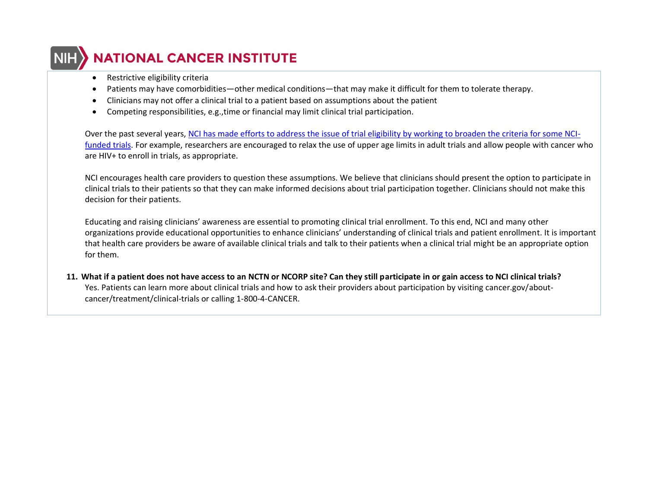# **NATIONAL CANCER INSTITUTE**

- Restrictive eligibility criteria
- Patients may have comorbidities—other medical conditions—that may make it difficult for them to tolerate therapy.
- Clinicians may not offer a clinical trial to a patient based on assumptions about the patient
- Competing responsibilities, e.g.,time or financial may limit clinical trial participation.

Over the past several years, [NCI has made efforts to address the issue of trial eligibility by working to broaden the criteria for some NCI](https://www.cancer.gov/news-events/cancer-currents-blog/2019/expanding-clinical-trial-eligibility-criteria)[funded trials.](https://www.cancer.gov/news-events/cancer-currents-blog/2019/expanding-clinical-trial-eligibility-criteria) For example, researchers are encouraged to relax the use of upper age limits in adult trials and allow people with cancer who are HIV+ to enroll in trials, as appropriate.

NCI encourages health care providers to question these assumptions. We believe that clinicians should present the option to participate in clinical trials to their patients so that they can make informed decisions about trial participation together. Clinicians should not make this decision for their patients.

Educating and raising clinicians' awareness are essential to promoting clinical trial enrollment. To this end, NCI and many other organizations provide educational opportunities to enhance clinicians' understanding of clinical trials and patient enrollment. It is important that health care providers be aware of available clinical trials and talk to their patients when a clinical trial might be an appropriate option for them.

**11. What if a patient does not have access to an NCTN or NCORP site? Can they still participate in or gain access to NCI clinical trials?** Yes. Patients can learn more about clinical trials and how to ask their providers about participation by visiting cancer.gov/aboutcancer/treatment/clinical-trials or calling 1-800-4-CANCER.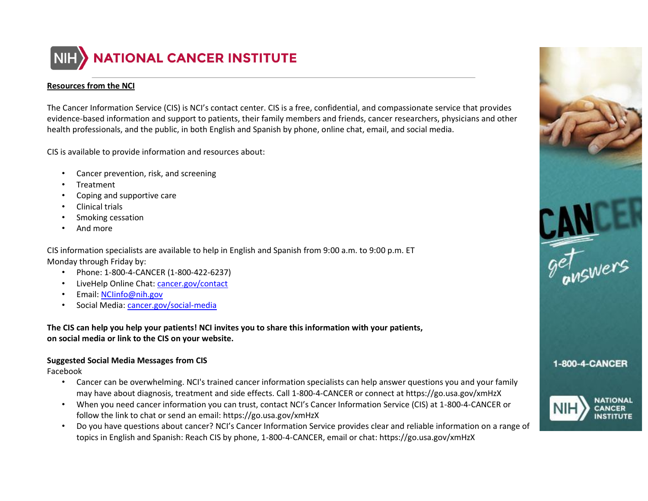

## **Resources from the NCI**

The Cancer Information Service (CIS) is NCI's contact center. CIS is a free, confidential, and compassionate service that provides evidence-based information and support to patients, their family members and friends, cancer researchers, physicians and other health professionals, and the public, in both English and Spanish by phone, online chat, email, and social media.

CIS is available to provide information and resources about:

- Cancer prevention, risk, and screening
- **Treatment**
- Coping and supportive care
- Clinical trials
- Smoking cessation
- And more

CIS information specialists are available to help in English and Spanish from 9:00 a.m. to 9:00 p.m. ET Monday through Friday by:

- Phone: 1-800-4-CANCER (1-800-422-6237)
- LiveHelp Online Chat: [cancer.gov/contact](http://www.cancer.gov/contact)
- Email: [NCIinfo@nih.gov](mailto:NCIinfo@nih.gov)
- Social Media: cancer.gov/social-media

**The CIS can help you help your patients! NCI invites you to share this information with your patients, on social media or link to the CIS on your website.**

# **Suggested Social Media Messages from CIS**

Facebook

- Cancer can be overwhelming. NCI's trained cancer information specialists can help answer questions you and your family may have about diagnosis, treatment and side effects. Call 1-800-4-CANCER or connect at https://go.usa.gov/xmHzX
- When you need cancer information you can trust, contact NCI's Cancer Information Service (CIS) at 1-800-4-CANCER or follow the link to chat or send an email: https://go.usa.gov/xmHzX
- Do you have questions about cancer? NCI's Cancer Information Service provides clear and reliable information on a range of topics in English and Spanish: Reach CIS by phone, 1-800-4-CANCER, email or chat: https://go.usa.gov/xmHzX

<span id="page-11-0"></span>



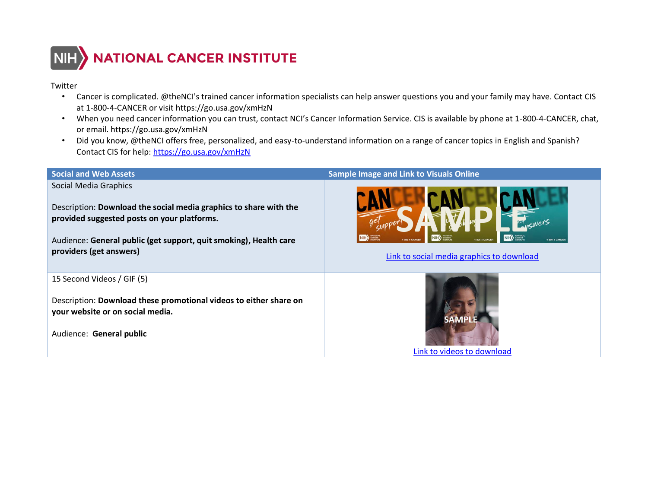

## Twitter

- Cancer is complicated. @theNCI's trained cancer information specialists can help answer questions you and your family may have. Contact CIS at 1-800-4-CANCER or visit https://go.usa.gov/xmHzN
- When you need cancer information you can trust, contact NCI's Cancer Information Service. CIS is available by phone at 1-800-4-CANCER, chat, or email. https://go.usa.gov/xmHzN
- Did you know, @theNCI offers free, personalized, and easy-to-understand information on a range of cancer topics in English and Spanish? Contact CIS for help:<https://go.usa.gov/xmHzN>